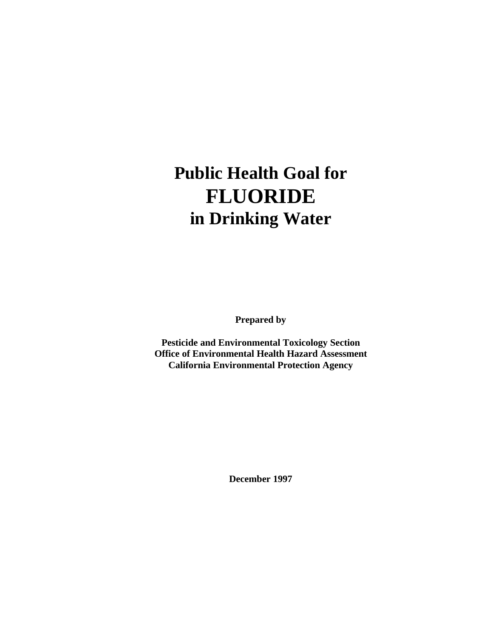# **Public Health Goal for FLUORIDE in Drinking Water**

**Prepared by**

**Pesticide and Environmental Toxicology Section Office of Environmental Health Hazard Assessment California Environmental Protection Agency**

**December 1997**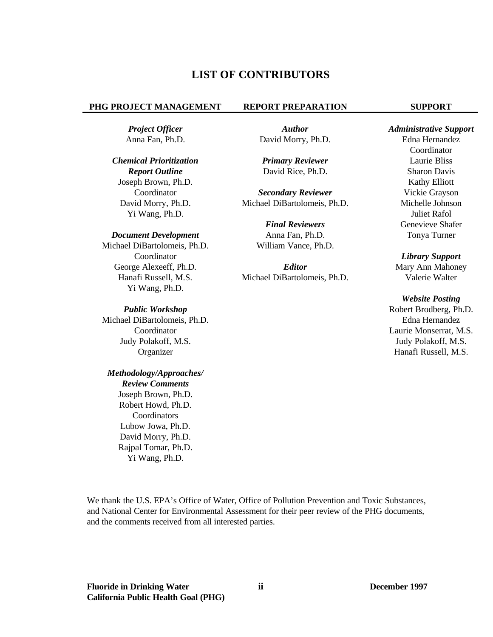# **LIST OF CONTRIBUTORS**

#### **PHG PROJECT MANAGEMENT REPORT PREPARATION SUPPORT**

### *Chemical Prioritization Primary Reviewer* Laurie Bliss

Joseph Brown, Ph.D. Kathy Elliott Yi Wang, Ph.D. Juliet Rafol

#### *Document Development* **Anna Fan, Ph.D. Tonya Turner Tonya Turner**

Michael DiBartolomeis, Ph.D. William Vance, Ph.D. Coordinator *Library Support*  Yi Wang, Ph.D.

Michael DiBartolomeis, Ph.D. Edna Hernandez Judy Polakoff, M.S. Judy Polakoff, M.S. Organizer Hanafi Russell, M.S.

# *Methodology/Approaches/*

*Review Comments*  Joseph Brown, Ph.D. Robert Howd, Ph.D. Coordinators Lubow Jowa, Ph.D. David Morry, Ph.D. Rajpal Tomar, Ph.D. Yi Wang, Ph.D.

Anna Fan, Ph.D. David Morry, Ph.D. Edna Hernandez

*Report Outline* **David Rice, Ph.D.** Sharon Davis

Coordinator *Secondary Reviewer* Vickie Grayson David Morry, Ph.D. Michael DiBartolomeis, Ph.D. Michelle Johnson

**Final Reviewers Genevieve Shafer** 

George Alexeeff, Ph.D. *Editor* **Mary Ann Mahoney** Hanafi Russell, M.S. Michael DiBartolomeis, Ph.D. Valerie Walter

*Project Officer Author Administrative Support*  Coordinator

# *Website Posting*  **Public Workshop Robert Brodberg, Ph.D. Robert Brodberg, Ph.D.** Coordinator Laurie Monserrat, M.S.

We thank the U.S. EPA's Office of Water, Office of Pollution Prevention and Toxic Substances, and National Center for Environmental Assessment for their peer review of the PHG documents, and the comments received from all interested parties.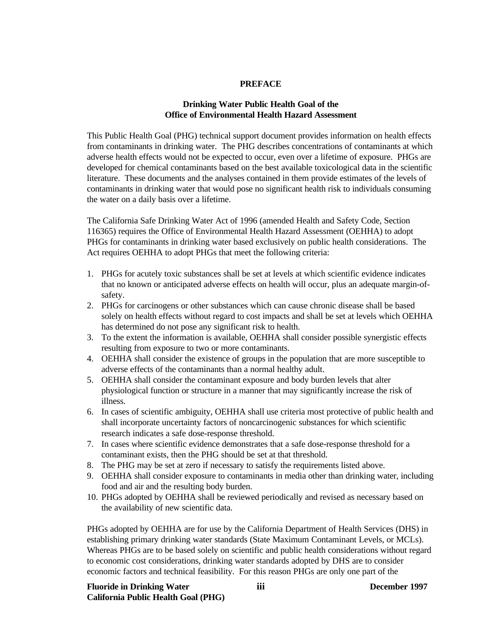#### **PREFACE**

# **Drinking Water Public Health Goal of the Office of Environmental Health Hazard Assessment**

This Public Health Goal (PHG) technical support document provides information on health effects from contaminants in drinking water. The PHG describes concentrations of contaminants at which adverse health effects would not be expected to occur, even over a lifetime of exposure. PHGs are developed for chemical contaminants based on the best available toxicological data in the scientific literature. These documents and the analyses contained in them provide estimates of the levels of contaminants in drinking water that would pose no significant health risk to individuals consuming the water on a daily basis over a lifetime.

The California Safe Drinking Water Act of 1996 (amended Health and Safety Code, Section 116365) requires the Office of Environmental Health Hazard Assessment (OEHHA) to adopt PHGs for contaminants in drinking water based exclusively on public health considerations. The Act requires OEHHA to adopt PHGs that meet the following criteria:

- 1. PHGs for acutely toxic substances shall be set at levels at which scientific evidence indicates that no known or anticipated adverse effects on health will occur, plus an adequate margin-ofsafety.
- 2. PHGs for carcinogens or other substances which can cause chronic disease shall be based solely on health effects without regard to cost impacts and shall be set at levels which OEHHA has determined do not pose any significant risk to health.
- 3. To the extent the information is available, OEHHA shall consider possible synergistic effects resulting from exposure to two or more contaminants.
- 4. OEHHA shall consider the existence of groups in the population that are more susceptible to adverse effects of the contaminants than a normal healthy adult.
- 5. OEHHA shall consider the contaminant exposure and body burden levels that alter physiological function or structure in a manner that may significantly increase the risk of illness.
- 6. In cases of scientific ambiguity, OEHHA shall use criteria most protective of public health and shall incorporate uncertainty factors of noncarcinogenic substances for which scientific research indicates a safe dose-response threshold.
- 7. In cases where scientific evidence demonstrates that a safe dose-response threshold for a contaminant exists, then the PHG should be set at that threshold.
- 8. The PHG may be set at zero if necessary to satisfy the requirements listed above.
- 9. OEHHA shall consider exposure to contaminants in media other than drinking water, including food and air and the resulting body burden.
- 10. PHGs adopted by OEHHA shall be reviewed periodically and revised as necessary based on the availability of new scientific data.

PHGs adopted by OEHHA are for use by the California Department of Health Services (DHS) in establishing primary drinking water standards (State Maximum Contaminant Levels, or MCLs). Whereas PHGs are to be based solely on scientific and public health considerations without regard to economic cost considerations, drinking water standards adopted by DHS are to consider economic factors and technical feasibility. For this reason PHGs are only one part of the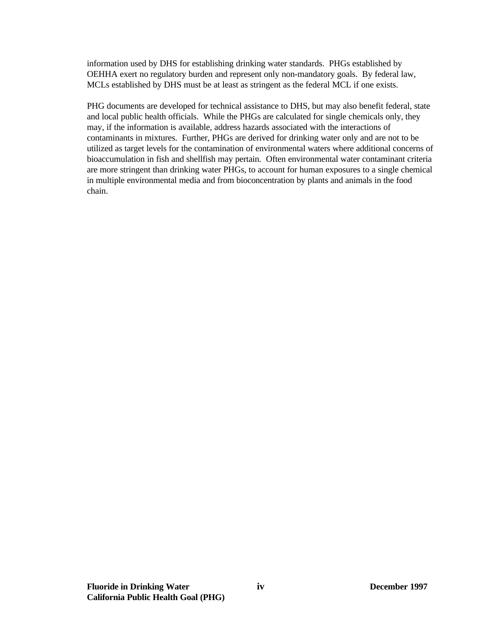information used by DHS for establishing drinking water standards. PHGs established by OEHHA exert no regulatory burden and represent only non-mandatory goals. By federal law, MCLs established by DHS must be at least as stringent as the federal MCL if one exists.

PHG documents are developed for technical assistance to DHS, but may also benefit federal, state and local public health officials. While the PHGs are calculated for single chemicals only, they may, if the information is available, address hazards associated with the interactions of contaminants in mixtures. Further, PHGs are derived for drinking water only and are not to be utilized as target levels for the contamination of environmental waters where additional concerns of bioaccumulation in fish and shellfish may pertain. Often environmental water contaminant criteria are more stringent than drinking water PHGs, to account for human exposures to a single chemical in multiple environmental media and from bioconcentration by plants and animals in the food chain.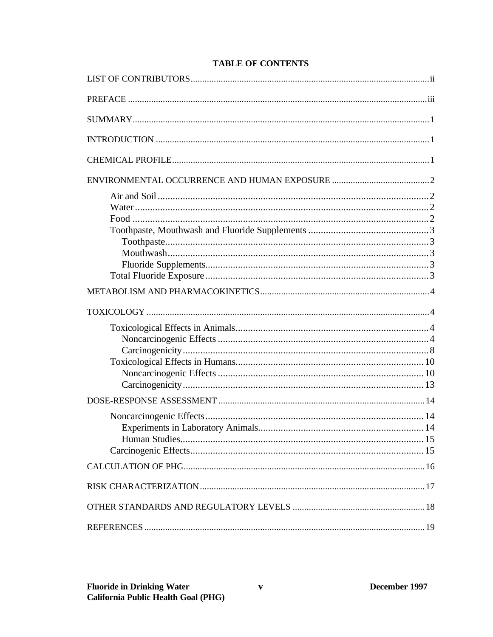# **TABLE OF CONTENTS**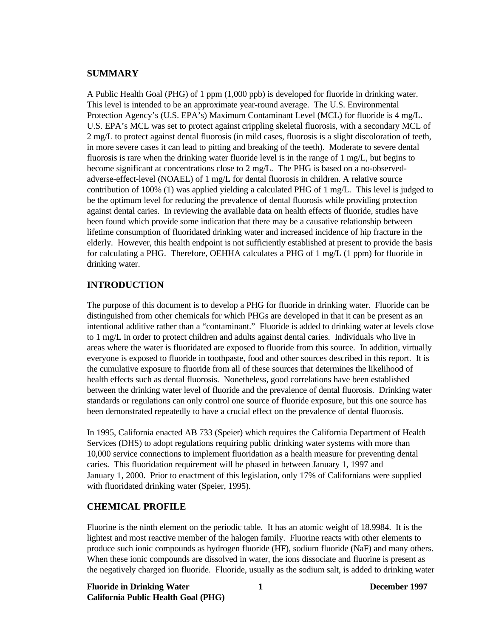# **SUMMARY**

A Public Health Goal (PHG) of 1 ppm (1,000 ppb) is developed for fluoride in drinking water. This level is intended to be an approximate year-round average. The U.S. Environmental Protection Agency's (U.S. EPA's) Maximum Contaminant Level (MCL) for fluoride is 4 mg/L. U.S. EPA's MCL was set to protect against crippling skeletal fluorosis, with a secondary MCL of 2 mg/L to protect against dental fluorosis (in mild cases, fluorosis is a slight discoloration of teeth, in more severe cases it can lead to pitting and breaking of the teeth). Moderate to severe dental fluorosis is rare when the drinking water fluoride level is in the range of 1 mg/L, but begins to become significant at concentrations close to 2 mg/L. The PHG is based on a no-observedadverse-effect-level (NOAEL) of 1 mg/L for dental fluorosis in children. A relative source contribution of 100% (1) was applied yielding a calculated PHG of 1 mg/L. This level is judged to be the optimum level for reducing the prevalence of dental fluorosis while providing protection against dental caries. In reviewing the available data on health effects of fluoride, studies have been found which provide some indication that there may be a causative relationship between lifetime consumption of fluoridated drinking water and increased incidence of hip fracture in the elderly. However, this health endpoint is not sufficiently established at present to provide the basis for calculating a PHG. Therefore, OEHHA calculates a PHG of 1 mg/L (1 ppm) for fluoride in drinking water.

# **INTRODUCTION**

The purpose of this document is to develop a PHG for fluoride in drinking water. Fluoride can be distinguished from other chemicals for which PHGs are developed in that it can be present as an intentional additive rather than a "contaminant." Fluoride is added to drinking water at levels close to 1 mg/L in order to protect children and adults against dental caries. Individuals who live in areas where the water is fluoridated are exposed to fluoride from this source. In addition, virtually everyone is exposed to fluoride in toothpaste, food and other sources described in this report. It is the cumulative exposure to fluoride from all of these sources that determines the likelihood of health effects such as dental fluorosis. Nonetheless, good correlations have been established between the drinking water level of fluoride and the prevalence of dental fluorosis. Drinking water standards or regulations can only control one source of fluoride exposure, but this one source has been demonstrated repeatedly to have a crucial effect on the prevalence of dental fluorosis.

In 1995, California enacted AB 733 (Speier) which requires the California Department of Health Services (DHS) to adopt regulations requiring public drinking water systems with more than 10,000 service connections to implement fluoridation as a health measure for preventing dental caries. This fluoridation requirement will be phased in between January 1, 1997 and January 1, 2000. Prior to enactment of this legislation, only 17% of Californians were supplied with fluoridated drinking water (Speier, 1995).

## **CHEMICAL PROFILE**

Fluorine is the ninth element on the periodic table. It has an atomic weight of 18.9984. It is the lightest and most reactive member of the halogen family. Fluorine reacts with other elements to produce such ionic compounds as hydrogen fluoride (HF), sodium fluoride (NaF) and many others. When these ionic compounds are dissolved in water, the ions dissociate and fluorine is present as the negatively charged ion fluoride. Fluoride, usually as the sodium salt, is added to drinking water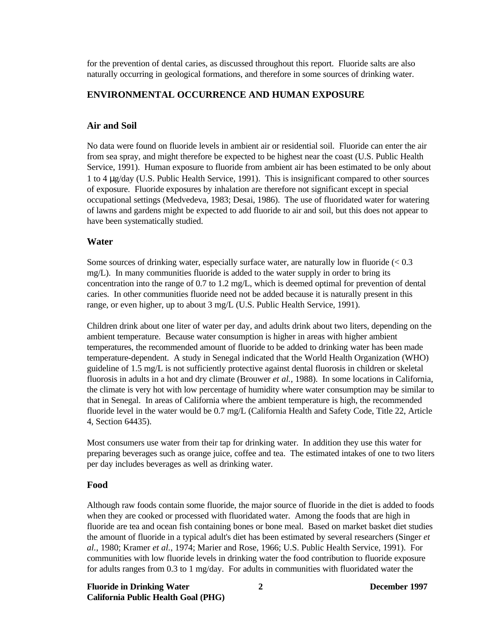for the prevention of dental caries, as discussed throughout this report. Fluoride salts are also naturally occurring in geological formations, and therefore in some sources of drinking water.

## **ENVIRONMENTAL OCCURRENCE AND HUMAN EXPOSURE**

#### **Air and Soil**

No data were found on fluoride levels in ambient air or residential soil. Fluoride can enter the air from sea spray, and might therefore be expected to be highest near the coast (U.S. Public Health Service, 1991). Human exposure to fluoride from ambient air has been estimated to be only about 1 to 4 mg/day (U.S. Public Health Service, 1991). This is insignificant compared to other sources of exposure. Fluoride exposures by inhalation are therefore not significant except in special occupational settings (Medvedeva, 1983; Desai, 1986). The use of fluoridated water for watering of lawns and gardens might be expected to add fluoride to air and soil, but this does not appear to have been systematically studied.

#### **Water**

Some sources of drinking water, especially surface water, are naturally low in fluoride  $(< 0.3$ mg/L). In many communities fluoride is added to the water supply in order to bring its concentration into the range of 0.7 to 1.2 mg/L, which is deemed optimal for prevention of dental caries. In other communities fluoride need not be added because it is naturally present in this range, or even higher, up to about 3 mg/L (U.S. Public Health Service, 1991).

Children drink about one liter of water per day, and adults drink about two liters, depending on the ambient temperature. Because water consumption is higher in areas with higher ambient temperatures, the recommended amount of fluoride to be added to drinking water has been made temperature-dependent. A study in Senegal indicated that the World Health Organization (WHO) guideline of 1.5 mg/L is not sufficiently protective against dental fluorosis in children or skeletal fluorosis in adults in a hot and dry climate (Brouwer *et al.*, 1988). In some locations in California, the climate is very hot with low percentage of humidity where water consumption may be similar to that in Senegal. In areas of California where the ambient temperature is high, the recommended fluoride level in the water would be 0.7 mg/L (California Health and Safety Code, Title 22, Article 4, Section 64435).

Most consumers use water from their tap for drinking water. In addition they use this water for preparing beverages such as orange juice, coffee and tea. The estimated intakes of one to two liters per day includes beverages as well as drinking water.

#### **Food**

Although raw foods contain some fluoride, the major source of fluoride in the diet is added to foods when they are cooked or processed with fluoridated water. Among the foods that are high in fluoride are tea and ocean fish containing bones or bone meal. Based on market basket diet studies the amount of fluoride in a typical adult's diet has been estimated by several researchers (Singer *et al.*, 1980; Kramer *et al.*, 1974; Marier and Rose, 1966; U.S. Public Health Service, 1991). For communities with low fluoride levels in drinking water the food contribution to fluoride exposure for adults ranges from 0.3 to 1 mg/day. For adults in communities with fluoridated water the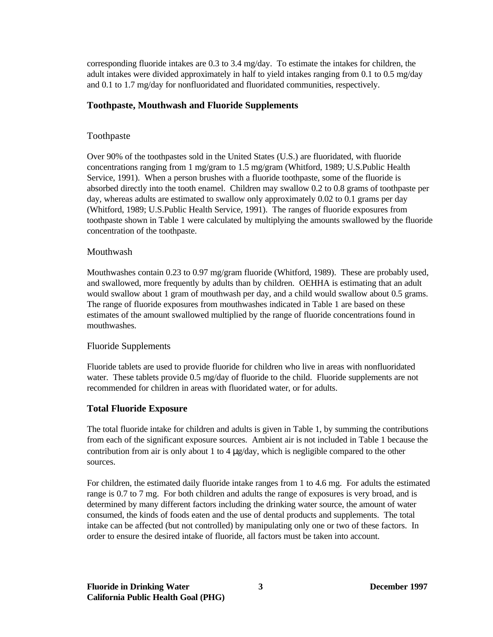corresponding fluoride intakes are 0.3 to 3.4 mg/day. To estimate the intakes for children, the adult intakes were divided approximately in half to yield intakes ranging from 0.1 to 0.5 mg/day and 0.1 to 1.7 mg/day for nonfluoridated and fluoridated communities, respectively.

# **Toothpaste, Mouthwash and Fluoride Supplements**

# Toothpaste

Over 90% of the toothpastes sold in the United States (U.S.) are fluoridated, with fluoride concentrations ranging from 1 mg/gram to 1.5 mg/gram (Whitford, 1989; U.S.Public Health Service, 1991). When a person brushes with a fluoride toothpaste, some of the fluoride is absorbed directly into the tooth enamel. Children may swallow 0.2 to 0.8 grams of toothpaste per day, whereas adults are estimated to swallow only approximately 0.02 to 0.1 grams per day (Whitford, 1989; U.S.Public Health Service, 1991). The ranges of fluoride exposures from toothpaste shown in Table 1 were calculated by multiplying the amounts swallowed by the fluoride concentration of the toothpaste.

# Mouthwash

Mouthwashes contain 0.23 to 0.97 mg/gram fluoride (Whitford, 1989). These are probably used, and swallowed, more frequently by adults than by children. OEHHA is estimating that an adult would swallow about 1 gram of mouthwash per day, and a child would swallow about 0.5 grams. The range of fluoride exposures from mouthwashes indicated in Table 1 are based on these estimates of the amount swallowed multiplied by the range of fluoride concentrations found in mouthwashes.

#### Fluoride Supplements

Fluoride tablets are used to provide fluoride for children who live in areas with nonfluoridated water. These tablets provide 0.5 mg/day of fluoride to the child. Fluoride supplements are not recommended for children in areas with fluoridated water, or for adults.

# **Total Fluoride Exposure**

The total fluoride intake for children and adults is given in Table 1, by summing the contributions from each of the significant exposure sources. Ambient air is not included in Table 1 because the contribution from air is only about 1 to 4  $\mu$ g/day, which is negligible compared to the other sources.

For children, the estimated daily fluoride intake ranges from 1 to 4.6 mg. For adults the estimated range is 0.7 to 7 mg. For both children and adults the range of exposures is very broad, and is determined by many different factors including the drinking water source, the amount of water consumed, the kinds of foods eaten and the use of dental products and supplements. The total intake can be affected (but not controlled) by manipulating only one or two of these factors. In order to ensure the desired intake of fluoride, all factors must be taken into account.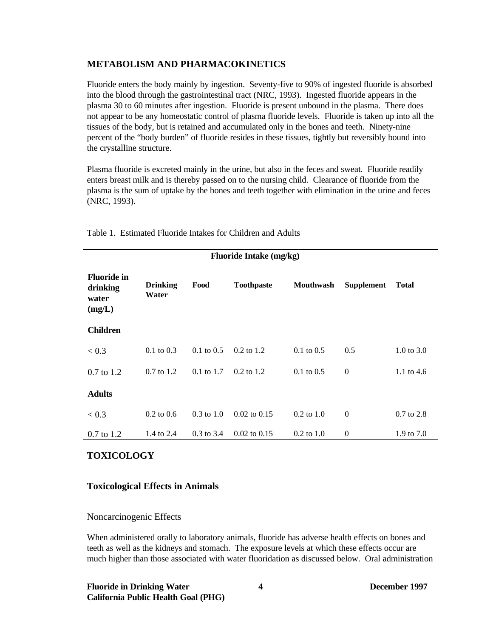# **METABOLISM AND PHARMACOKINETICS**

Fluoride enters the body mainly by ingestion. Seventy-five to 90% of ingested fluoride is absorbed into the blood through the gastrointestinal tract (NRC, 1993). Ingested fluoride appears in the plasma 30 to 60 minutes after ingestion. Fluoride is present unbound in the plasma. There does not appear to be any homeostatic control of plasma fluoride levels. Fluoride is taken up into all the tissues of the body, but is retained and accumulated only in the bones and teeth. Ninety-nine percent of the "body burden" of fluoride resides in these tissues, tightly but reversibly bound into the crystalline structure.

Plasma fluoride is excreted mainly in the urine, but also in the feces and sweat. Fluoride readily enters breast milk and is thereby passed on to the nursing child. Clearance of fluoride from the plasma is the sum of uptake by the bones and teeth together with elimination in the urine and feces (NRC, 1993).

| <b>Fluoride Intake (mg/kg)</b>                    |                          |                       |                   |                  |                   |                       |  |
|---------------------------------------------------|--------------------------|-----------------------|-------------------|------------------|-------------------|-----------------------|--|
| <b>Fluoride in</b><br>drinking<br>water<br>(mg/L) | <b>Drinking</b><br>Water | Food                  | <b>Toothpaste</b> | <b>Mouthwash</b> | <b>Supplement</b> | <b>Total</b>          |  |
| <b>Children</b>                                   |                          |                       |                   |                  |                   |                       |  |
| < 0.3                                             | $0.1 \text{ to } 0.3$    | $0.1 \text{ to } 0.5$ | $0.2$ to 1.2      | $0.1$ to $0.5$   | 0.5               | $1.0 \text{ to } 3.0$ |  |
| $0.7$ to 1.2                                      | $0.7$ to $1.2$           | $0.1 \text{ to } 1.7$ | $0.2$ to 1.2      | $0.1$ to $0.5$   | $\mathbf{0}$      | 1.1 to $4.6$          |  |
| <b>Adults</b>                                     |                          |                       |                   |                  |                   |                       |  |
| < 0.3                                             | $0.2 \text{ to } 0.6$    | $0.3 \text{ to } 1.0$ | $0.02$ to $0.15$  | $0.2$ to $1.0$   | $\mathbf{0}$      | $0.7$ to $2.8$        |  |
| $0.7 \text{ to } 1.2$                             | 1.4 to 2.4               | $0.3$ to 3.4          | $0.02$ to $0.15$  | $0.2$ to $1.0$   | $\mathbf{0}$      | 1.9 to 7.0            |  |

Table 1. Estimated Fluoride Intakes for Children and Adults

# **TOXICOLOGY**

# **Toxicological Effects in Animals**

#### Noncarcinogenic Effects

When administered orally to laboratory animals, fluoride has adverse health effects on bones and teeth as well as the kidneys and stomach. The exposure levels at which these effects occur are much higher than those associated with water fluoridation as discussed below. Oral administration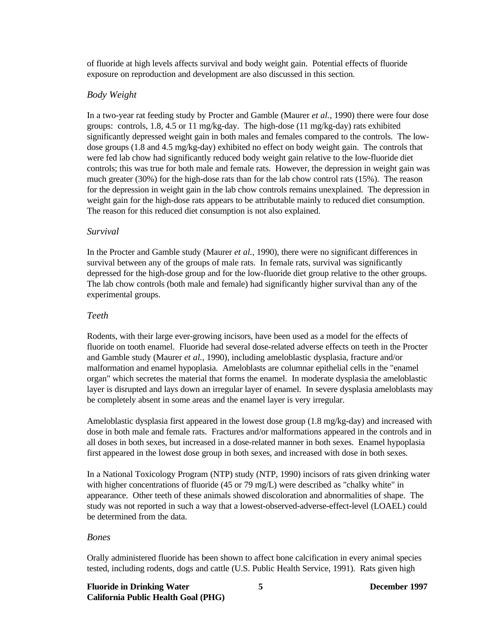of fluoride at high levels affects survival and body weight gain. Potential effects of fluoride exposure on reproduction and development are also discussed in this section.

# *Body Weight*

In a two-year rat feeding study by Procter and Gamble (Maurer *et al.*, 1990) there were four dose groups: controls, 1.8, 4.5 or 11 mg/kg-day. The high-dose (11 mg/kg-day) rats exhibited significantly depressed weight gain in both males and females compared to the controls. The lowdose groups (1.8 and 4.5 mg/kg-day) exhibited no effect on body weight gain. The controls that were fed lab chow had significantly reduced body weight gain relative to the low-fluoride diet controls; this was true for both male and female rats. However, the depression in weight gain was much greater (30%) for the high-dose rats than for the lab chow control rats (15%). The reason for the depression in weight gain in the lab chow controls remains unexplained. The depression in weight gain for the high-dose rats appears to be attributable mainly to reduced diet consumption. The reason for this reduced diet consumption is not also explained.

#### *Survival*

In the Procter and Gamble study (Maurer *et al.*, 1990), there were no significant differences in survival between any of the groups of male rats. In female rats, survival was significantly depressed for the high-dose group and for the low-fluoride diet group relative to the other groups. The lab chow controls (both male and female) had significantly higher survival than any of the experimental groups.

# *Teeth*

Rodents, with their large ever-growing incisors, have been used as a model for the effects of fluoride on tooth enamel. Fluoride had several dose-related adverse effects on teeth in the Procter and Gamble study (Maurer *et al.*, 1990), including ameloblastic dysplasia, fracture and/or malformation and enamel hypoplasia. Ameloblasts are columnar epithelial cells in the "enamel organ" which secretes the material that forms the enamel. In moderate dysplasia the ameloblastic layer is disrupted and lays down an irregular layer of enamel. In severe dysplasia ameloblasts may be completely absent in some areas and the enamel layer is very irregular.

Ameloblastic dysplasia first appeared in the lowest dose group (1.8 mg/kg-day) and increased with dose in both male and female rats. Fractures and/or malformations appeared in the controls and in all doses in both sexes, but increased in a dose-related manner in both sexes. Enamel hypoplasia first appeared in the lowest dose group in both sexes, and increased with dose in both sexes.

In a National Toxicology Program (NTP) study (NTP, 1990) incisors of rats given drinking water with higher concentrations of fluoride (45 or 79 mg/L) were described as "chalky white" in appearance. Other teeth of these animals showed discoloration and abnormalities of shape. The study was not reported in such a way that a lowest-observed-adverse-effect-level (LOAEL) could be determined from the data.

# *Bones*

Orally administered fluoride has been shown to affect bone calcification in every animal species tested, including rodents, dogs and cattle (U.S. Public Health Service, 1991). Rats given high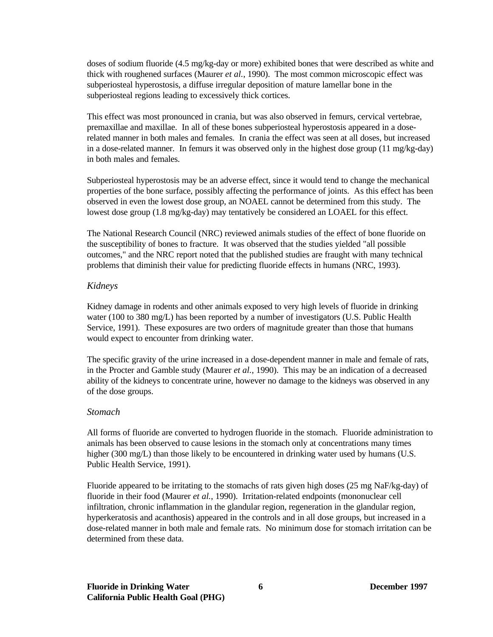doses of sodium fluoride (4.5 mg/kg-day or more) exhibited bones that were described as white and thick with roughened surfaces (Maurer *et al.*, 1990). The most common microscopic effect was subperiosteal hyperostosis, a diffuse irregular deposition of mature lamellar bone in the subperiosteal regions leading to excessively thick cortices.

This effect was most pronounced in crania, but was also observed in femurs, cervical vertebrae, premaxillae and maxillae. In all of these bones subperiosteal hyperostosis appeared in a doserelated manner in both males and females. In crania the effect was seen at all doses, but increased in a dose-related manner. In femurs it was observed only in the highest dose group (11 mg/kg-day) in both males and females.

Subperiosteal hyperostosis may be an adverse effect, since it would tend to change the mechanical properties of the bone surface, possibly affecting the performance of joints. As this effect has been observed in even the lowest dose group, an NOAEL cannot be determined from this study. The lowest dose group (1.8 mg/kg-day) may tentatively be considered an LOAEL for this effect.

The National Research Council (NRC) reviewed animals studies of the effect of bone fluoride on the susceptibility of bones to fracture. It was observed that the studies yielded "all possible outcomes," and the NRC report noted that the published studies are fraught with many technical problems that diminish their value for predicting fluoride effects in humans (NRC, 1993).

# *Kidneys*

Kidney damage in rodents and other animals exposed to very high levels of fluoride in drinking water (100 to 380 mg/L) has been reported by a number of investigators (U.S. Public Health Service, 1991). These exposures are two orders of magnitude greater than those that humans would expect to encounter from drinking water.

The specific gravity of the urine increased in a dose-dependent manner in male and female of rats, in the Procter and Gamble study (Maurer *et al.*, 1990). This may be an indication of a decreased ability of the kidneys to concentrate urine, however no damage to the kidneys was observed in any of the dose groups.

# *Stomach*

All forms of fluoride are converted to hydrogen fluoride in the stomach. Fluoride administration to animals has been observed to cause lesions in the stomach only at concentrations many times higher (300 mg/L) than those likely to be encountered in drinking water used by humans (U.S. Public Health Service, 1991).

Fluoride appeared to be irritating to the stomachs of rats given high doses (25 mg NaF/kg-day) of fluoride in their food (Maurer *et al.*, 1990). Irritation-related endpoints (mononuclear cell infiltration, chronic inflammation in the glandular region, regeneration in the glandular region, hyperkeratosis and acanthosis) appeared in the controls and in all dose groups, but increased in a dose-related manner in both male and female rats. No minimum dose for stomach irritation can be determined from these data.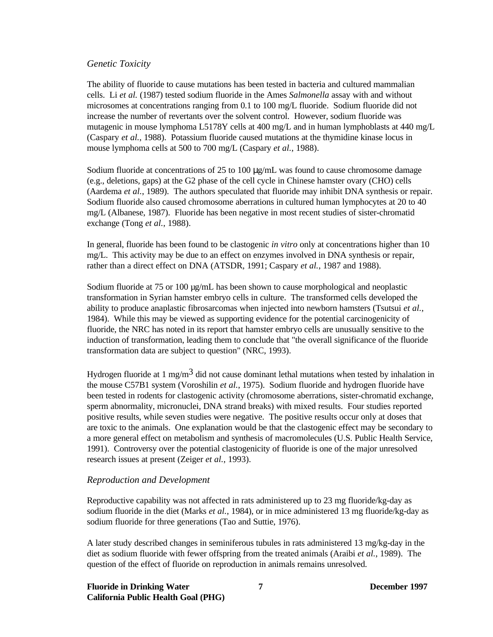### *Genetic Toxicity*

The ability of fluoride to cause mutations has been tested in bacteria and cultured mammalian cells. Li *et al.* (1987) tested sodium fluoride in the Ames *Salmonella* assay with and without microsomes at concentrations ranging from 0.1 to 100 mg/L fluoride. Sodium fluoride did not increase the number of revertants over the solvent control. However, sodium fluoride was mutagenic in mouse lymphoma L5178Y cells at 400 mg/L and in human lymphoblasts at 440 mg/L (Caspary *et al.*, 1988). Potassium fluoride caused mutations at the thymidine kinase locus in mouse lymphoma cells at 500 to 700 mg/L (Caspary *et al.*, 1988).

Sodium fluoride at concentrations of 25 to 100  $\mu$ g/mL was found to cause chromosome damage (e.g., deletions, gaps) at the G2 phase of the cell cycle in Chinese hamster ovary (CHO) cells (Aardema *et al.*, 1989). The authors speculated that fluoride may inhibit DNA synthesis or repair. Sodium fluoride also caused chromosome aberrations in cultured human lymphocytes at 20 to 40 mg/L (Albanese, 1987). Fluoride has been negative in most recent studies of sister-chromatid exchange (Tong *et al.*, 1988).

In general, fluoride has been found to be clastogenic *in vitro* only at concentrations higher than 10 mg/L. This activity may be due to an effect on enzymes involved in DNA synthesis or repair, rather than a direct effect on DNA (ATSDR, 1991; Caspary *et al.*, 1987 and 1988).

Sodium fluoride at 75 or 100  $\mu$ g/mL has been shown to cause morphological and neoplastic transformation in Syrian hamster embryo cells in culture. The transformed cells developed the ability to produce anaplastic fibrosarcomas when injected into newborn hamsters (Tsutsui *et al.*, 1984). While this may be viewed as supporting evidence for the potential carcinogenicity of fluoride, the NRC has noted in its report that hamster embryo cells are unusually sensitive to the induction of transformation, leading them to conclude that "the overall significance of the fluoride transformation data are subject to question" (NRC, 1993).

Hydrogen fluoride at 1 mg/m<sup>3</sup> did not cause dominant lethal mutations when tested by inhalation in the mouse C57B1 system (Voroshilin *et al.*, 1975). Sodium fluoride and hydrogen fluoride have been tested in rodents for clastogenic activity (chromosome aberrations, sister-chromatid exchange, sperm abnormality, micronuclei, DNA strand breaks) with mixed results. Four studies reported positive results, while seven studies were negative. The positive results occur only at doses that are toxic to the animals. One explanation would be that the clastogenic effect may be secondary to a more general effect on metabolism and synthesis of macromolecules (U.S. Public Health Service, 1991). Controversy over the potential clastogenicity of fluoride is one of the major unresolved research issues at present (Zeiger *et al.*, 1993).

#### *Reproduction and Development*

Reproductive capability was not affected in rats administered up to 23 mg fluoride/kg-day as sodium fluoride in the diet (Marks *et al.*, 1984), or in mice administered 13 mg fluoride/kg-day as sodium fluoride for three generations (Tao and Suttie, 1976).

A later study described changes in seminiferous tubules in rats administered 13 mg/kg-day in the diet as sodium fluoride with fewer offspring from the treated animals (Araibi *et al.*, 1989). The question of the effect of fluoride on reproduction in animals remains unresolved.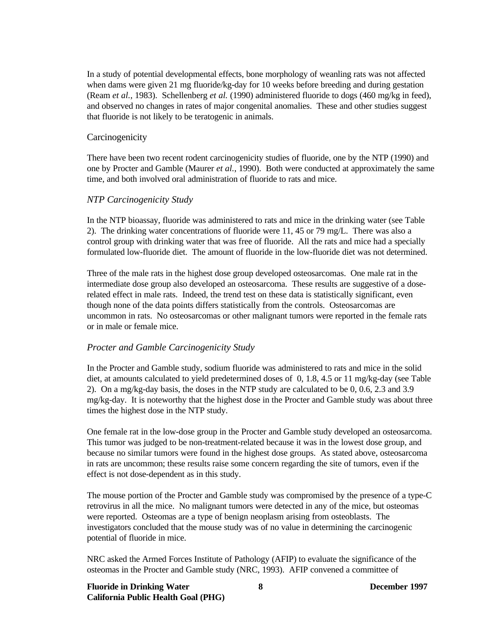In a study of potential developmental effects, bone morphology of weanling rats was not affected when dams were given 21 mg fluoride/kg-day for 10 weeks before breeding and during gestation (Ream *et al.*, 1983). Schellenberg *et al.* (1990) administered fluoride to dogs (460 mg/kg in feed), and observed no changes in rates of major congenital anomalies. These and other studies suggest that fluoride is not likely to be teratogenic in animals.

#### **Carcinogenicity**

There have been two recent rodent carcinogenicity studies of fluoride, one by the NTP (1990) and one by Procter and Gamble (Maurer *et al.*, 1990). Both were conducted at approximately the same time, and both involved oral administration of fluoride to rats and mice.

#### *NTP Carcinogenicity Study*

In the NTP bioassay, fluoride was administered to rats and mice in the drinking water (see Table 2). The drinking water concentrations of fluoride were 11, 45 or 79 mg/L. There was also a control group with drinking water that was free of fluoride. All the rats and mice had a specially formulated low-fluoride diet. The amount of fluoride in the low-fluoride diet was not determined.

Three of the male rats in the highest dose group developed osteosarcomas. One male rat in the intermediate dose group also developed an osteosarcoma. These results are suggestive of a doserelated effect in male rats. Indeed, the trend test on these data is statistically significant, even though none of the data points differs statistically from the controls. Osteosarcomas are uncommon in rats. No osteosarcomas or other malignant tumors were reported in the female rats or in male or female mice.

#### *Procter and Gamble Carcinogenicity Study*

In the Procter and Gamble study, sodium fluoride was administered to rats and mice in the solid diet, at amounts calculated to yield predetermined doses of 0, 1.8, 4.5 or 11 mg/kg-day (see Table 2). On a mg/kg-day basis, the doses in the NTP study are calculated to be 0, 0.6, 2.3 and 3.9 mg/kg-day. It is noteworthy that the highest dose in the Procter and Gamble study was about three times the highest dose in the NTP study.

One female rat in the low-dose group in the Procter and Gamble study developed an osteosarcoma. This tumor was judged to be non-treatment-related because it was in the lowest dose group, and because no similar tumors were found in the highest dose groups. As stated above, osteosarcoma in rats are uncommon; these results raise some concern regarding the site of tumors, even if the effect is not dose-dependent as in this study.

The mouse portion of the Procter and Gamble study was compromised by the presence of a type-C retrovirus in all the mice. No malignant tumors were detected in any of the mice, but osteomas were reported. Osteomas are a type of benign neoplasm arising from osteoblasts. The investigators concluded that the mouse study was of no value in determining the carcinogenic potential of fluoride in mice.

NRC asked the Armed Forces Institute of Pathology (AFIP) to evaluate the significance of the osteomas in the Procter and Gamble study (NRC, 1993). AFIP convened a committee of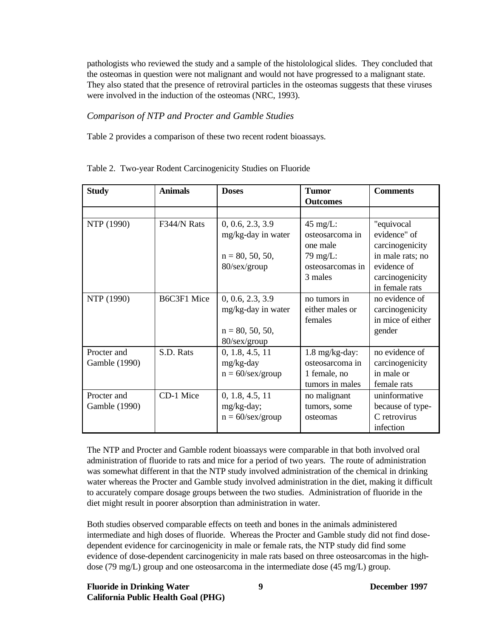pathologists who reviewed the study and a sample of the histolological slides. They concluded that the osteomas in question were not malignant and would not have progressed to a malignant state. They also stated that the presence of retroviral particles in the osteomas suggests that these viruses were involved in the induction of the osteomas (NRC, 1993).

# *Comparison of NTP and Procter and Gamble Studies*

Table 2 provides a comparison of these two recent rodent bioassays.

| <b>Study</b>  | <b>Animals</b> | <b>Doses</b>        | <b>Tumor</b>             | <b>Comments</b>   |
|---------------|----------------|---------------------|--------------------------|-------------------|
|               |                |                     | <b>Outcomes</b>          |                   |
|               |                |                     |                          |                   |
| NTP (1990)    | F344/N Rats    | 0, 0.6, 2.3, 3.9    | 45 mg/L:                 | "equivocal        |
|               |                | mg/kg-day in water  | osteosarcoma in          | evidence" of      |
|               |                |                     | one male                 | carcinogenicity   |
|               |                | $n = 80, 50, 50,$   | 79 mg/L:                 | in male rats; no  |
|               |                | 80/sex/group        | osteosarcomas in         | evidence of       |
|               |                |                     | 3 males                  | carcinogenicity   |
|               |                |                     |                          | in female rats    |
| NTP (1990)    | B6C3F1 Mice    | 0, 0.6, 2.3, 3.9    | no tumors in             | no evidence of    |
|               |                | mg/kg-day in water  | either males or          | carcinogenicity   |
|               |                |                     | females                  | in mice of either |
|               |                | $n = 80, 50, 50,$   |                          | gender            |
|               |                | 80/sex/group        |                          |                   |
| Procter and   | S.D. Rats      | 0, 1.8, 4.5, 11     | $1.8 \text{ mg/kg-day:}$ | no evidence of    |
| Gamble (1990) |                | mg/kg-day           | osteosarcoma in          | carcinogenicity   |
|               |                | $n = 60$ /sex/group | 1 female, no             | in male or        |
|               |                |                     | tumors in males          | female rats       |
| Procter and   | CD-1 Mice      | 0, 1.8, 4.5, 11     | no malignant             | uninformative     |
| Gamble (1990) |                | mg/kg-day;          | tumors, some             | because of type-  |
|               |                | $n = 60$ /sex/group | osteomas                 | C retrovirus      |
|               |                |                     |                          | infection         |

Table 2. Two-year Rodent Carcinogenicity Studies on Fluoride

The NTP and Procter and Gamble rodent bioassays were comparable in that both involved oral administration of fluoride to rats and mice for a period of two years. The route of administration was somewhat different in that the NTP study involved administration of the chemical in drinking water whereas the Procter and Gamble study involved administration in the diet, making it difficult to accurately compare dosage groups between the two studies. Administration of fluoride in the diet might result in poorer absorption than administration in water.

Both studies observed comparable effects on teeth and bones in the animals administered intermediate and high doses of fluoride. Whereas the Procter and Gamble study did not find dosedependent evidence for carcinogenicity in male or female rats, the NTP study did find some evidence of dose-dependent carcinogenicity in male rats based on three osteosarcomas in the highdose (79 mg/L) group and one osteosarcoma in the intermediate dose (45 mg/L) group.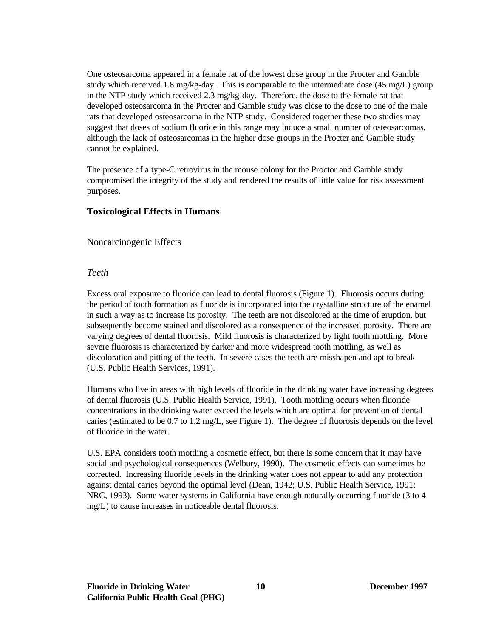One osteosarcoma appeared in a female rat of the lowest dose group in the Procter and Gamble study which received 1.8 mg/kg-day. This is comparable to the intermediate dose  $(45 \text{ mg/L})$  group in the NTP study which received 2.3 mg/kg-day. Therefore, the dose to the female rat that developed osteosarcoma in the Procter and Gamble study was close to the dose to one of the male rats that developed osteosarcoma in the NTP study. Considered together these two studies may suggest that doses of sodium fluoride in this range may induce a small number of osteosarcomas, although the lack of osteosarcomas in the higher dose groups in the Procter and Gamble study cannot be explained.

The presence of a type-C retrovirus in the mouse colony for the Proctor and Gamble study compromised the integrity of the study and rendered the results of little value for risk assessment purposes.

# **Toxicological Effects in Humans**

Noncarcinogenic Effects

#### *Teeth*

Excess oral exposure to fluoride can lead to dental fluorosis (Figure 1). Fluorosis occurs during the period of tooth formation as fluoride is incorporated into the crystalline structure of the enamel in such a way as to increase its porosity. The teeth are not discolored at the time of eruption, but subsequently become stained and discolored as a consequence of the increased porosity. There are varying degrees of dental fluorosis. Mild fluorosis is characterized by light tooth mottling. More severe fluorosis is characterized by darker and more widespread tooth mottling, as well as discoloration and pitting of the teeth. In severe cases the teeth are misshapen and apt to break (U.S. Public Health Services, 1991).

Humans who live in areas with high levels of fluoride in the drinking water have increasing degrees of dental fluorosis (U.S. Public Health Service, 1991). Tooth mottling occurs when fluoride concentrations in the drinking water exceed the levels which are optimal for prevention of dental caries (estimated to be  $0.7$  to  $1.2$  mg/L, see Figure 1). The degree of fluorosis depends on the level of fluoride in the water.

U.S. EPA considers tooth mottling a cosmetic effect, but there is some concern that it may have social and psychological consequences (Welbury, 1990). The cosmetic effects can sometimes be corrected. Increasing fluoride levels in the drinking water does not appear to add any protection against dental caries beyond the optimal level (Dean, 1942; U.S. Public Health Service, 1991; NRC, 1993). Some water systems in California have enough naturally occurring fluoride (3 to 4 mg/L) to cause increases in noticeable dental fluorosis.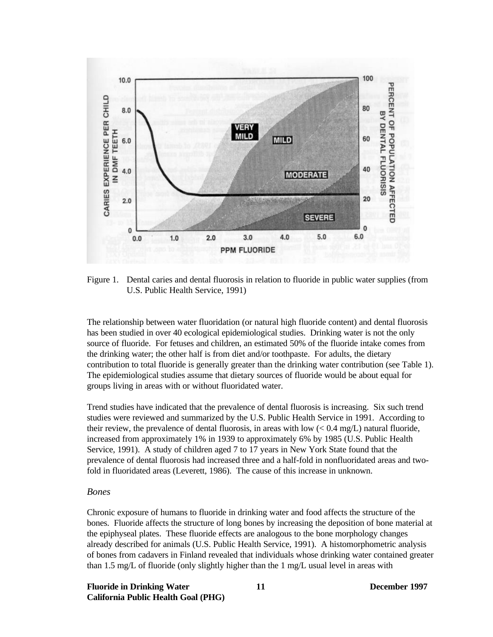

Figure 1. Dental caries and dental fluorosis in relation to fluoride in public water supplies (from U.S. Public Health Service, 1991)

The relationship between water fluoridation (or natural high fluoride content) and dental fluorosis has been studied in over 40 ecological epidemiological studies. Drinking water is not the only source of fluoride. For fetuses and children, an estimated 50% of the fluoride intake comes from the drinking water; the other half is from diet and/or toothpaste. For adults, the dietary contribution to total fluoride is generally greater than the drinking water contribution (see Table 1). The epidemiological studies assume that dietary sources of fluoride would be about equal for groups living in areas with or without fluoridated water.

Trend studies have indicated that the prevalence of dental fluorosis is increasing. Six such trend studies were reviewed and summarized by the U.S. Public Health Service in 1991. According to their review, the prevalence of dental fluorosis, in areas with low  $(< 0.4$  mg/L) natural fluoride, increased from approximately 1% in 1939 to approximately 6% by 1985 (U.S. Public Health Service, 1991). A study of children aged 7 to 17 years in New York State found that the prevalence of dental fluorosis had increased three and a half-fold in nonfluoridated areas and twofold in fluoridated areas (Leverett, 1986). The cause of this increase in unknown.

#### *Bones*

Chronic exposure of humans to fluoride in drinking water and food affects the structure of the bones. Fluoride affects the structure of long bones by increasing the deposition of bone material at the epiphyseal plates. These fluoride effects are analogous to the bone morphology changes already described for animals (U.S. Public Health Service, 1991). A histomorphometric analysis of bones from cadavers in Finland revealed that individuals whose drinking water contained greater than 1.5 mg/L of fluoride (only slightly higher than the 1 mg/L usual level in areas with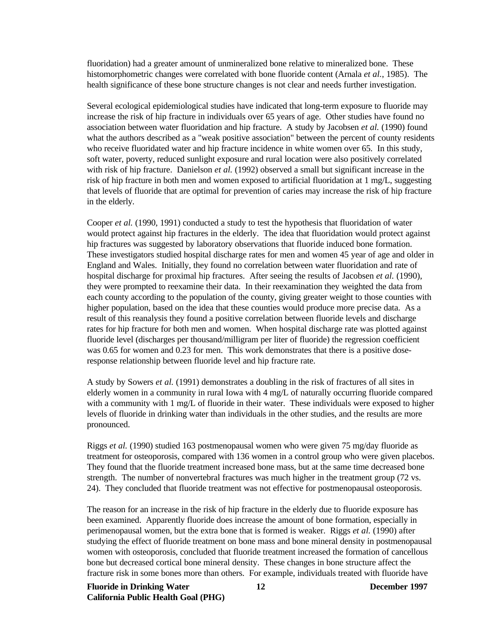fluoridation) had a greater amount of unmineralized bone relative to mineralized bone. These histomorphometric changes were correlated with bone fluoride content (Arnala *et al.*, 1985). The health significance of these bone structure changes is not clear and needs further investigation.

Several ecological epidemiological studies have indicated that long-term exposure to fluoride may increase the risk of hip fracture in individuals over 65 years of age. Other studies have found no association between water fluoridation and hip fracture. A study by Jacobsen *et al.* (1990) found what the authors described as a "weak positive association" between the percent of county residents who receive fluoridated water and hip fracture incidence in white women over 65. In this study, soft water, poverty, reduced sunlight exposure and rural location were also positively correlated with risk of hip fracture. Danielson *et al.* (1992) observed a small but significant increase in the risk of hip fracture in both men and women exposed to artificial fluoridation at 1 mg/L, suggesting that levels of fluoride that are optimal for prevention of caries may increase the risk of hip fracture in the elderly.

Cooper *et al.* (1990, 1991) conducted a study to test the hypothesis that fluoridation of water would protect against hip fractures in the elderly. The idea that fluoridation would protect against hip fractures was suggested by laboratory observations that fluoride induced bone formation. These investigators studied hospital discharge rates for men and women 45 year of age and older in England and Wales. Initially, they found no correlation between water fluoridation and rate of hospital discharge for proximal hip fractures. After seeing the results of Jacobsen *et al.* (1990), they were prompted to reexamine their data. In their reexamination they weighted the data from each county according to the population of the county, giving greater weight to those counties with higher population, based on the idea that these counties would produce more precise data. As a result of this reanalysis they found a positive correlation between fluoride levels and discharge rates for hip fracture for both men and women. When hospital discharge rate was plotted against fluoride level (discharges per thousand/milligram per liter of fluoride) the regression coefficient was 0.65 for women and 0.23 for men. This work demonstrates that there is a positive doseresponse relationship between fluoride level and hip fracture rate.

A study by Sowers *et al.* (1991) demonstrates a doubling in the risk of fractures of all sites in elderly women in a community in rural Iowa with 4 mg/L of naturally occurring fluoride compared with a community with 1 mg/L of fluoride in their water. These individuals were exposed to higher levels of fluoride in drinking water than individuals in the other studies, and the results are more pronounced.

Riggs *et al.* (1990) studied 163 postmenopausal women who were given 75 mg/day fluoride as treatment for osteoporosis, compared with 136 women in a control group who were given placebos. They found that the fluoride treatment increased bone mass, but at the same time decreased bone strength. The number of nonvertebral fractures was much higher in the treatment group (72 vs. 24). They concluded that fluoride treatment was not effective for postmenopausal osteoporosis.

The reason for an increase in the risk of hip fracture in the elderly due to fluoride exposure has been examined. Apparently fluoride does increase the amount of bone formation, especially in perimenopausal women, but the extra bone that is formed is weaker. Riggs *et al.* (1990) after studying the effect of fluoride treatment on bone mass and bone mineral density in postmenopausal women with osteoporosis, concluded that fluoride treatment increased the formation of cancellous bone but decreased cortical bone mineral density. These changes in bone structure affect the fracture risk in some bones more than others. For example, individuals treated with fluoride have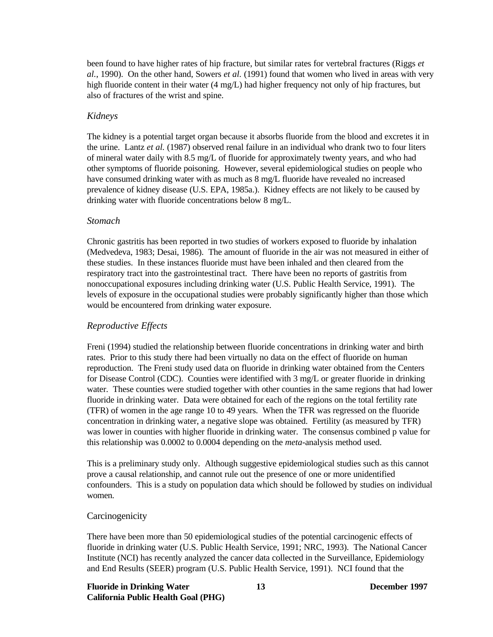been found to have higher rates of hip fracture, but similar rates for vertebral fractures (Riggs *et al.*, 1990). On the other hand, Sowers *et al.* (1991) found that women who lived in areas with very high fluoride content in their water (4 mg/L) had higher frequency not only of hip fractures, but also of fractures of the wrist and spine.

# *Kidneys*

The kidney is a potential target organ because it absorbs fluoride from the blood and excretes it in the urine. Lantz *et al.* (1987) observed renal failure in an individual who drank two to four liters of mineral water daily with 8.5 mg/L of fluoride for approximately twenty years, and who had other symptoms of fluoride poisoning. However, several epidemiological studies on people who have consumed drinking water with as much as  $8 \text{ mg/L}$  fluoride have revealed no increased prevalence of kidney disease (U.S. EPA, 1985a.). Kidney effects are not likely to be caused by drinking water with fluoride concentrations below 8 mg/L.

# *Stomach*

Chronic gastritis has been reported in two studies of workers exposed to fluoride by inhalation (Medvedeva, 1983; Desai, 1986). The amount of fluoride in the air was not measured in either of these studies. In these instances fluoride must have been inhaled and then cleared from the respiratory tract into the gastrointestinal tract. There have been no reports of gastritis from nonoccupational exposures including drinking water (U.S. Public Health Service, 1991). The levels of exposure in the occupational studies were probably significantly higher than those which would be encountered from drinking water exposure.

# *Reproductive Effects*

Freni (1994) studied the relationship between fluoride concentrations in drinking water and birth rates. Prior to this study there had been virtually no data on the effect of fluoride on human reproduction. The Freni study used data on fluoride in drinking water obtained from the Centers for Disease Control (CDC). Counties were identified with 3 mg/L or greater fluoride in drinking water. These counties were studied together with other counties in the same regions that had lower fluoride in drinking water. Data were obtained for each of the regions on the total fertility rate (TFR) of women in the age range 10 to 49 years. When the TFR was regressed on the fluoride concentration in drinking water, a negative slope was obtained. Fertility (as measured by TFR) was lower in counties with higher fluoride in drinking water. The consensus combined p value for this relationship was 0.0002 to 0.0004 depending on the *meta*-analysis method used.

This is a preliminary study only. Although suggestive epidemiological studies such as this cannot prove a causal relationship, and cannot rule out the presence of one or more unidentified confounders. This is a study on population data which should be followed by studies on individual women.

# **Carcinogenicity**

There have been more than 50 epidemiological studies of the potential carcinogenic effects of fluoride in drinking water (U.S. Public Health Service, 1991; NRC, 1993). The National Cancer Institute (NCI) has recently analyzed the cancer data collected in the Surveillance, Epidemiology and End Results (SEER) program (U.S. Public Health Service, 1991). NCI found that the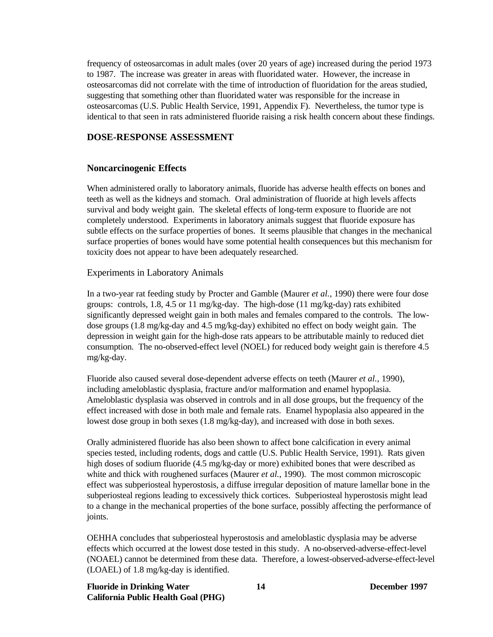frequency of osteosarcomas in adult males (over 20 years of age) increased during the period 1973 to 1987. The increase was greater in areas with fluoridated water. However, the increase in osteosarcomas did not correlate with the time of introduction of fluoridation for the areas studied, suggesting that something other than fluoridated water was responsible for the increase in osteosarcomas (U.S. Public Health Service, 1991, Appendix F). Nevertheless, the tumor type is identical to that seen in rats administered fluoride raising a risk health concern about these findings.

## **DOSE-RESPONSE ASSESSMENT**

# **Noncarcinogenic Effects**

When administered orally to laboratory animals, fluoride has adverse health effects on bones and teeth as well as the kidneys and stomach. Oral administration of fluoride at high levels affects survival and body weight gain. The skeletal effects of long-term exposure to fluoride are not completely understood. Experiments in laboratory animals suggest that fluoride exposure has subtle effects on the surface properties of bones. It seems plausible that changes in the mechanical surface properties of bones would have some potential health consequences but this mechanism for toxicity does not appear to have been adequately researched.

# Experiments in Laboratory Animals

In a two-year rat feeding study by Procter and Gamble (Maurer *et al.*, 1990) there were four dose groups: controls, 1.8, 4.5 or 11 mg/kg-day. The high-dose (11 mg/kg-day) rats exhibited significantly depressed weight gain in both males and females compared to the controls. The lowdose groups (1.8 mg/kg-day and 4.5 mg/kg-day) exhibited no effect on body weight gain. The depression in weight gain for the high-dose rats appears to be attributable mainly to reduced diet consumption. The no-observed-effect level (NOEL) for reduced body weight gain is therefore 4.5 mg/kg-day.

Fluoride also caused several dose-dependent adverse effects on teeth (Maurer *et al.*, 1990), including ameloblastic dysplasia, fracture and/or malformation and enamel hypoplasia. Ameloblastic dysplasia was observed in controls and in all dose groups, but the frequency of the effect increased with dose in both male and female rats. Enamel hypoplasia also appeared in the lowest dose group in both sexes (1.8 mg/kg-day), and increased with dose in both sexes.

Orally administered fluoride has also been shown to affect bone calcification in every animal species tested, including rodents, dogs and cattle (U.S. Public Health Service, 1991). Rats given high doses of sodium fluoride (4.5 mg/kg-day or more) exhibited bones that were described as white and thick with roughened surfaces (Maurer *et al.*, 1990). The most common microscopic effect was subperiosteal hyperostosis, a diffuse irregular deposition of mature lamellar bone in the subperiosteal regions leading to excessively thick cortices. Subperiosteal hyperostosis might lead to a change in the mechanical properties of the bone surface, possibly affecting the performance of joints.

OEHHA concludes that subperiosteal hyperostosis and ameloblastic dysplasia may be adverse effects which occurred at the lowest dose tested in this study. A no-observed-adverse-effect-level (NOAEL) cannot be determined from these data. Therefore, a lowest-observed-adverse-effect-level (LOAEL) of 1.8 mg/kg-day is identified.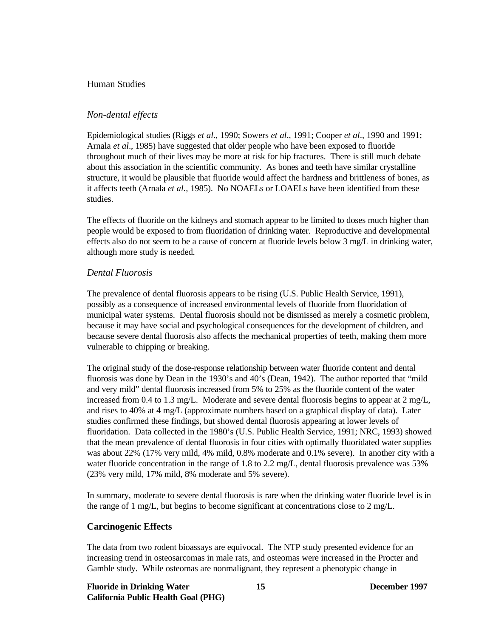# Human Studies

# *Non-dental effects*

Epidemiological studies (Riggs *et al*., 1990; Sowers *et al*., 1991; Cooper *et al*., 1990 and 1991; Arnala *et al*., 1985) have suggested that older people who have been exposed to fluoride throughout much of their lives may be more at risk for hip fractures. There is still much debate about this association in the scientific community. As bones and teeth have similar crystalline structure, it would be plausible that fluoride would affect the hardness and brittleness of bones, as it affects teeth (Arnala *et al.,* 1985). No NOAELs or LOAELs have been identified from these studies.

The effects of fluoride on the kidneys and stomach appear to be limited to doses much higher than people would be exposed to from fluoridation of drinking water. Reproductive and developmental effects also do not seem to be a cause of concern at fluoride levels below 3 mg/L in drinking water, although more study is needed.

#### *Dental Fluorosis*

The prevalence of dental fluorosis appears to be rising (U.S. Public Health Service, 1991), possibly as a consequence of increased environmental levels of fluoride from fluoridation of municipal water systems. Dental fluorosis should not be dismissed as merely a cosmetic problem, because it may have social and psychological consequences for the development of children, and because severe dental fluorosis also affects the mechanical properties of teeth, making them more vulnerable to chipping or breaking.

The original study of the dose-response relationship between water fluoride content and dental fluorosis was done by Dean in the 1930's and 40's (Dean, 1942). The author reported that "mild and very mild" dental fluorosis increased from 5% to 25% as the fluoride content of the water increased from 0.4 to 1.3 mg/L. Moderate and severe dental fluorosis begins to appear at 2 mg/L, and rises to 40% at 4 mg/L (approximate numbers based on a graphical display of data). Later studies confirmed these findings, but showed dental fluorosis appearing at lower levels of fluoridation. Data collected in the 1980's (U.S. Public Health Service, 1991; NRC, 1993) showed that the mean prevalence of dental fluorosis in four cities with optimally fluoridated water supplies was about 22% (17% very mild, 4% mild, 0.8% moderate and 0.1% severe). In another city with a water fluoride concentration in the range of 1.8 to 2.2 mg/L, dental fluorosis prevalence was 53% (23% very mild, 17% mild, 8% moderate and 5% severe).

In summary, moderate to severe dental fluorosis is rare when the drinking water fluoride level is in the range of 1 mg/L, but begins to become significant at concentrations close to 2 mg/L.

#### **Carcinogenic Effects**

The data from two rodent bioassays are equivocal. The NTP study presented evidence for an increasing trend in osteosarcomas in male rats, and osteomas were increased in the Procter and Gamble study. While osteomas are nonmalignant, they represent a phenotypic change in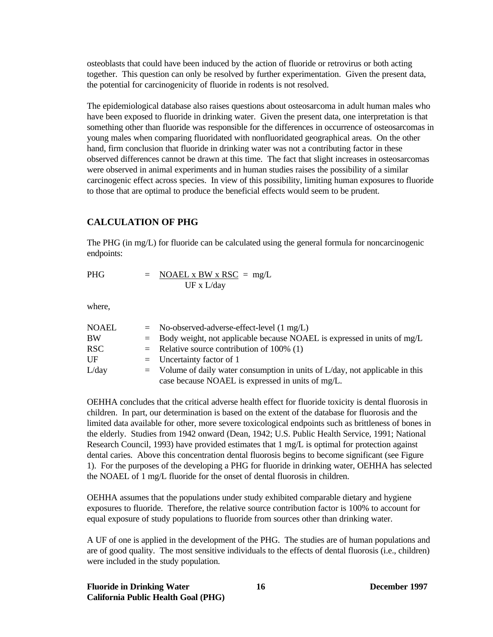osteoblasts that could have been induced by the action of fluoride or retrovirus or both acting together. This question can only be resolved by further experimentation. Given the present data, the potential for carcinogenicity of fluoride in rodents is not resolved.

The epidemiological database also raises questions about osteosarcoma in adult human males who have been exposed to fluoride in drinking water. Given the present data, one interpretation is that something other than fluoride was responsible for the differences in occurrence of osteosarcomas in young males when comparing fluoridated with nonfluoridated geographical areas. On the other hand, firm conclusion that fluoride in drinking water was not a contributing factor in these observed differences cannot be drawn at this time. The fact that slight increases in osteosarcomas were observed in animal experiments and in human studies raises the possibility of a similar carcinogenic effect across species. In view of this possibility, limiting human exposures to fluoride to those that are optimal to produce the beneficial effects would seem to be prudent.

# **CALCULATION OF PHG**

The PHG (in mg/L) for fluoride can be calculated using the general formula for noncarcinogenic endpoints:

$$
PHG = \frac{NOAEL \times BW \times RSC}{UF \times L/day} = mg/L
$$

where,

| <b>NOAEL</b> | $=$ No-observed-adverse-effect-level $(1 \text{ mg/L})$                         |
|--------------|---------------------------------------------------------------------------------|
| <b>BW</b>    | $=$ Body weight, not applicable because NOAEL is expressed in units of mg/L     |
| <b>RSC</b>   | $=$ Relative source contribution of 100% (1)                                    |
| UF           | $=$ Uncertainty factor of 1                                                     |
| L/day        | $=$ Volume of daily water consumption in units of L/day, not applicable in this |
|              | case because NOAEL is expressed in units of mg/L.                               |

OEHHA concludes that the critical adverse health effect for fluoride toxicity is dental fluorosis in children. In part, our determination is based on the extent of the database for fluorosis and the limited data available for other, more severe toxicological endpoints such as brittleness of bones in the elderly. Studies from 1942 onward (Dean, 1942; U.S. Public Health Service, 1991; National Research Council, 1993) have provided estimates that 1 mg/L is optimal for protection against dental caries. Above this concentration dental fluorosis begins to become significant (see Figure 1). For the purposes of the developing a PHG for fluoride in drinking water, OEHHA has selected the NOAEL of 1 mg/L fluoride for the onset of dental fluorosis in children.

OEHHA assumes that the populations under study exhibited comparable dietary and hygiene exposures to fluoride. Therefore, the relative source contribution factor is 100% to account for equal exposure of study populations to fluoride from sources other than drinking water.

A UF of one is applied in the development of the PHG. The studies are of human populations and are of good quality. The most sensitive individuals to the effects of dental fluorosis (i.e., children) were included in the study population.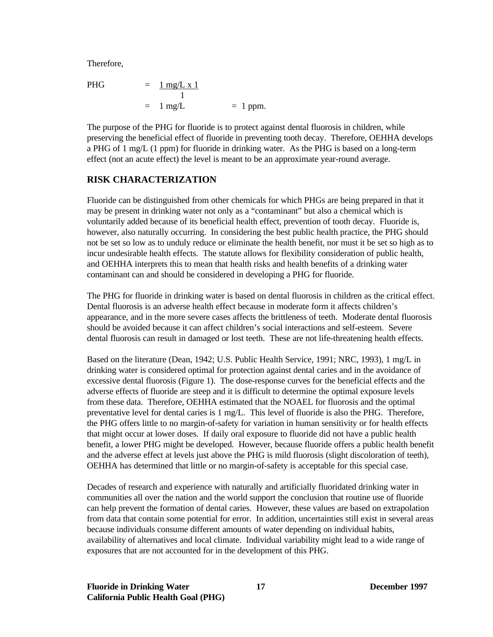Therefore,

$$
\begin{array}{rcl}\n\text{PHG} & = & \frac{1 \, \text{mg/L x 1}}{1} \\
& = & 1 \, \text{mg/L} \\
& = & 1 \, \text{ppm.}\n\end{array}
$$

The purpose of the PHG for fluoride is to protect against dental fluorosis in children, while preserving the beneficial effect of fluoride in preventing tooth decay. Therefore, OEHHA develops a PHG of 1 mg/L (1 ppm) for fluoride in drinking water. As the PHG is based on a long-term effect (not an acute effect) the level is meant to be an approximate year-round average.

# **RISK CHARACTERIZATION**

Fluoride can be distinguished from other chemicals for which PHGs are being prepared in that it may be present in drinking water not only as a "contaminant" but also a chemical which is voluntarily added because of its beneficial health effect, prevention of tooth decay. Fluoride is, however, also naturally occurring. In considering the best public health practice, the PHG should not be set so low as to unduly reduce or eliminate the health benefit, nor must it be set so high as to incur undesirable health effects. The statute allows for flexibility consideration of public health, and OEHHA interprets this to mean that health risks and health benefits of a drinking water contaminant can and should be considered in developing a PHG for fluoride.

The PHG for fluoride in drinking water is based on dental fluorosis in children as the critical effect. Dental fluorosis is an adverse health effect because in moderate form it affects children's appearance, and in the more severe cases affects the brittleness of teeth. Moderate dental fluorosis should be avoided because it can affect children's social interactions and self-esteem. Severe dental fluorosis can result in damaged or lost teeth. These are not life-threatening health effects.

Based on the literature (Dean, 1942; U.S. Public Health Service, 1991; NRC, 1993), 1 mg/L in drinking water is considered optimal for protection against dental caries and in the avoidance of excessive dental fluorosis (Figure 1). The dose-response curves for the beneficial effects and the adverse effects of fluoride are steep and it is difficult to determine the optimal exposure levels from these data. Therefore, OEHHA estimated that the NOAEL for fluorosis and the optimal preventative level for dental caries is 1 mg/L. This level of fluoride is also the PHG. Therefore, the PHG offers little to no margin-of-safety for variation in human sensitivity or for health effects that might occur at lower doses. If daily oral exposure to fluoride did not have a public health benefit, a lower PHG might be developed. However, because fluoride offers a public health benefit and the adverse effect at levels just above the PHG is mild fluorosis (slight discoloration of teeth), OEHHA has determined that little or no margin-of-safety is acceptable for this special case.

Decades of research and experience with naturally and artificially fluoridated drinking water in communities all over the nation and the world support the conclusion that routine use of fluoride can help prevent the formation of dental caries. However, these values are based on extrapolation from data that contain some potential for error. In addition, uncertainties still exist in several areas because individuals consume different amounts of water depending on individual habits, availability of alternatives and local climate. Individual variability might lead to a wide range of exposures that are not accounted for in the development of this PHG.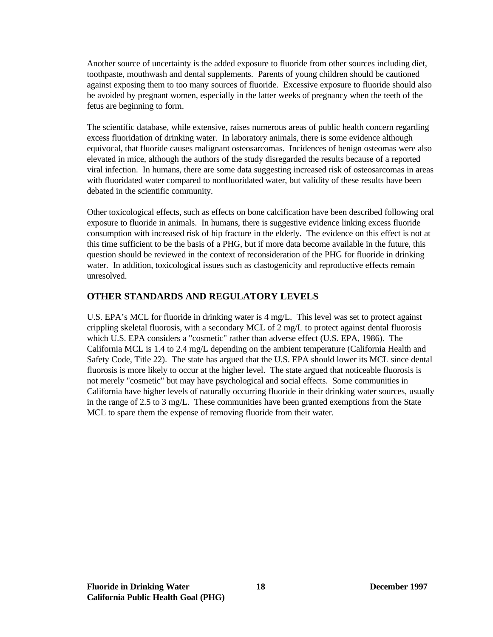Another source of uncertainty is the added exposure to fluoride from other sources including diet, toothpaste, mouthwash and dental supplements. Parents of young children should be cautioned against exposing them to too many sources of fluoride. Excessive exposure to fluoride should also be avoided by pregnant women, especially in the latter weeks of pregnancy when the teeth of the fetus are beginning to form.

The scientific database, while extensive, raises numerous areas of public health concern regarding excess fluoridation of drinking water. In laboratory animals, there is some evidence although equivocal, that fluoride causes malignant osteosarcomas. Incidences of benign osteomas were also elevated in mice, although the authors of the study disregarded the results because of a reported viral infection. In humans, there are some data suggesting increased risk of osteosarcomas in areas with fluoridated water compared to nonfluoridated water, but validity of these results have been debated in the scientific community.

Other toxicological effects, such as effects on bone calcification have been described following oral exposure to fluoride in animals. In humans, there is suggestive evidence linking excess fluoride consumption with increased risk of hip fracture in the elderly. The evidence on this effect is not at this time sufficient to be the basis of a PHG, but if more data become available in the future, this question should be reviewed in the context of reconsideration of the PHG for fluoride in drinking water. In addition, toxicological issues such as clastogenicity and reproductive effects remain unresolved.

# **OTHER STANDARDS AND REGULATORY LEVELS**

U.S. EPA's MCL for fluoride in drinking water is 4 mg/L. This level was set to protect against crippling skeletal fluorosis, with a secondary MCL of 2 mg/L to protect against dental fluorosis which U.S. EPA considers a "cosmetic" rather than adverse effect (U.S. EPA, 1986). The California MCL is 1.4 to 2.4 mg/L depending on the ambient temperature (California Health and Safety Code, Title 22). The state has argued that the U.S. EPA should lower its MCL since dental fluorosis is more likely to occur at the higher level. The state argued that noticeable fluorosis is not merely "cosmetic" but may have psychological and social effects. Some communities in California have higher levels of naturally occurring fluoride in their drinking water sources, usually in the range of 2.5 to 3 mg/L. These communities have been granted exemptions from the State MCL to spare them the expense of removing fluoride from their water.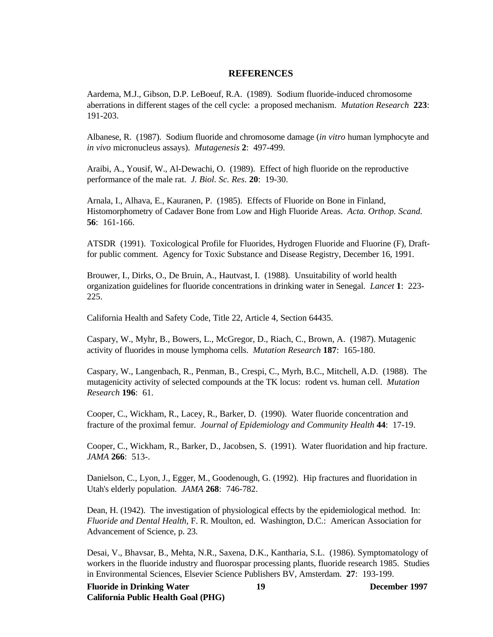### **REFERENCES**

 aberrations in different stages of the cell cycle: a proposed mechanism. *Mutation Research* **223**: Aardema, M.J., Gibson, D.P. LeBoeuf, R.A. (1989). Sodium fluoride-induced chromosome 191-203.

Albanese, R. (1987). Sodium fluoride and chromosome damage (*in vitro* human lymphocyte and *in vivo* micronucleus assays). *Mutagenesis* **2**: 497-499.

Araibi, A., Yousif, W., Al-Dewachi, O. (1989). Effect of high fluoride on the reproductive performance of the male rat. *J. Biol. Sc. Res*. **20**: 19-30.

Arnala, I., Alhava, E., Kauranen, P. (1985). Effects of Fluoride on Bone in Finland, Histomorphometry of Cadaver Bone from Low and High Fluoride Areas. *Acta. Orthop. Scand.*  **56**: 161-166.

ATSDR (1991). Toxicological Profile for Fluorides, Hydrogen Fluoride and Fluorine (F), Draftfor public comment. Agency for Toxic Substance and Disease Registry, December 16, 1991.

Brouwer, I., Dirks, O., De Bruin, A., Hautvast, I. (1988). Unsuitability of world health organization guidelines for fluoride concentrations in drinking water in Senegal. *Lancet* **1**: 223 225.

California Health and Safety Code, Title 22, Article 4, Section 64435.

Caspary, W., Myhr, B., Bowers, L., McGregor, D., Riach, C., Brown, A. (1987). Mutagenic activity of fluorides in mouse lymphoma cells. *Mutation Research* **187**: 165-180.

Caspary, W., Langenbach, R., Penman, B., Crespi, C., Myrh, B.C., Mitchell, A.D. (1988). The mutagenicity activity of selected compounds at the TK locus: rodent vs. human cell. *Mutation Research* **196**: 61.

Cooper, C., Wickham, R., Lacey, R., Barker, D. (1990). Water fluoride concentration and fracture of the proximal femur. *Journal of Epidemiology and Community Health* **44**: 17-19.

Cooper, C., Wickham, R., Barker, D., Jacobsen, S. (1991). Water fluoridation and hip fracture. *JAMA* **266**: 513-.

Danielson, C., Lyon, J., Egger, M., Goodenough, G. (1992). Hip fractures and fluoridation in Utah's elderly population. *JAMA* **268**: 746-782.

Dean, H. (1942). The investigation of physiological effects by the epidemiological method. In: *Fluoride and Dental Health*, F. R. Moulton, ed. Washington, D.C.: American Association for Advancement of Science, p. 23.

Desai, V., Bhavsar, B., Mehta, N.R., Saxena, D.K., Kantharia, S.L. (1986). Symptomatology of workers in the fluoride industry and fluorospar processing plants, fluoride research 1985. Studies in Environmental Sciences, Elsevier Science Publishers BV, Amsterdam. **27**: 193-199.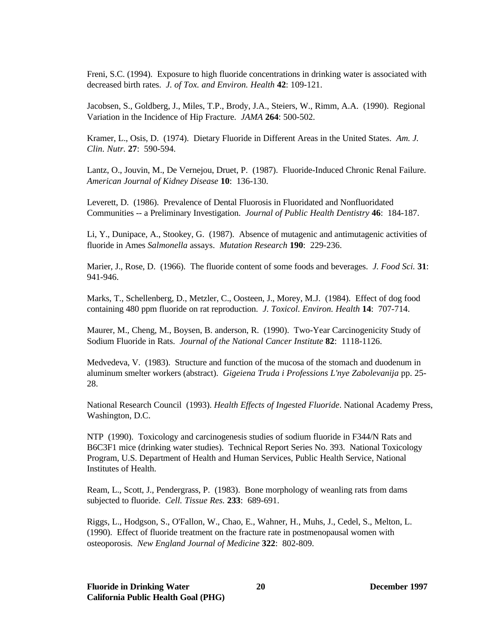Freni, S.C. (1994). Exposure to high fluoride concentrations in drinking water is associated with decreased birth rates. *J. of Tox. and Environ. Health* **42**: 109-121.

Jacobsen, S., Goldberg, J., Miles, T.P., Brody, J.A., Steiers, W., Rimm, A.A. (1990). Regional Variation in the Incidence of Hip Fracture. *JAMA* **264**: 500-502.

Kramer, L., Osis, D. (1974). Dietary Fluoride in Different Areas in the United States. *Am. J. Clin. Nutr.* **27**: 590-594.

Lantz, O., Jouvin, M., De Vernejou, Druet, P. (1987). Fluoride-Induced Chronic Renal Failure. *American Journal of Kidney Disease* **10**: 136-130.

Leverett, D. (1986). Prevalence of Dental Fluorosis in Fluoridated and Nonfluoridated Communities -- a Preliminary Investigation. *Journal of Public Health Dentistry* **46**: 184-187.

Li, Y., Dunipace, A., Stookey, G. (1987). Absence of mutagenic and antimutagenic activities of fluoride in Ames *Salmonella* assays. *Mutation Research* **190**: 229-236.

Marier, J., Rose, D. (1966). The fluoride content of some foods and beverages. *J. Food Sci.* **31**: 941-946.

Marks, T., Schellenberg, D., Metzler, C., Oosteen, J., Morey, M.J. (1984). Effect of dog food containing 480 ppm fluoride on rat reproduction. *J. Toxicol. Environ. Health* **14**: 707-714.

Maurer, M., Cheng, M., Boysen, B. anderson, R. (1990). Two-Year Carcinogenicity Study of Sodium Fluoride in Rats. *Journal of the National Cancer Institute* **82**: 1118-1126.

Medvedeva, V. (1983). Structure and function of the mucosa of the stomach and duodenum in aluminum smelter workers (abstract). *Gigeiena Truda i Professions L'nye Zabolevanija* pp. 25 28.

National Research Council (1993). *Health Effects of Ingested Fluoride*. National Academy Press, Washington, D.C.

NTP (1990). Toxicology and carcinogenesis studies of sodium fluoride in F344/N Rats and B6C3F1 mice (drinking water studies). Technical Report Series No. 393. National Toxicology Program, U.S. Department of Health and Human Services, Public Health Service, National Institutes of Health.

Ream, L., Scott, J., Pendergrass, P. (1983). Bone morphology of weanling rats from dams subjected to fluoride. *Cell. Tissue Res.* **233**: 689-691.

Riggs, L., Hodgson, S., O'Fallon, W., Chao, E., Wahner, H., Muhs, J., Cedel, S., Melton, L. (1990). Effect of fluoride treatment on the fracture rate in postmenopausal women with osteoporosis. *New England Journal of Medicine* **322**: 802-809.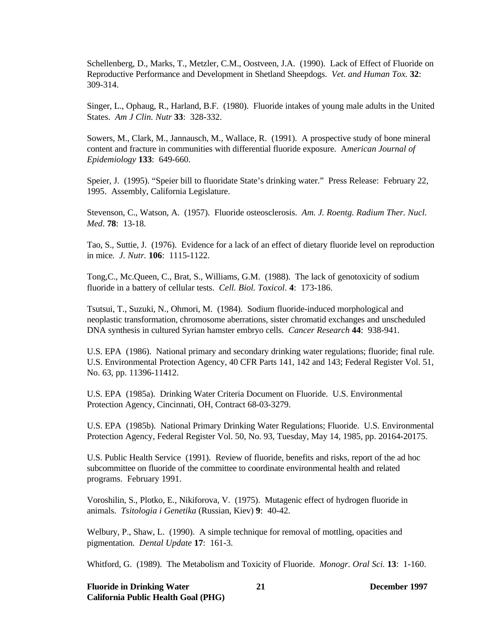Schellenberg, D., Marks, T., Metzler, C.M., Oostveen, J.A. (1990). Lack of Effect of Fluoride on Reproductive Performance and Development in Shetland Sheepdogs. *Vet. and Human Tox.* **32**: 309-314.

Singer, L., Ophaug, R., Harland, B.F. (1980). Fluoride intakes of young male adults in the United States. *Am J Clin. Nutr* **33**: 328-332.

Sowers, M., Clark, M., Jannausch, M., Wallace, R. (1991). A prospective study of bone mineral content and fracture in communities with differential fluoride exposure. A*merican Journal of Epidemiology* **133**: 649-660.

Speier, J. (1995). "Speier bill to fluoridate State's drinking water." Press Release: February 22, 1995. Assembly, California Legislature.

Stevenson, C., Watson, A. (1957). Fluoride osteosclerosis. *Am. J. Roentg. Radium Ther. Nucl. Med*. **78**: 13-18.

Tao, S., Suttie, J. (1976). Evidence for a lack of an effect of dietary fluoride level on reproduction in mice. *J. Nutr.* **106**: 1115-1122.

Tong,C., Mc.Queen, C., Brat, S., Williams, G.M. (1988). The lack of genotoxicity of sodium fluoride in a battery of cellular tests. *Cell. Biol. Toxicol*. **4**: 173-186.

Tsutsui, T., Suzuki, N., Ohmori, M. (1984). Sodium fluoride-induced morphological and neoplastic transformation, chromosome aberrations, sister chromatid exchanges and unscheduled DNA synthesis in cultured Syrian hamster embryo cells. *Cancer Research* **44**: 938-941.

U.S. EPA (1986). National primary and secondary drinking water regulations; fluoride; final rule. U.S. Environmental Protection Agency, 40 CFR Parts 141, 142 and 143; Federal Register Vol. 51, No. 63, pp. 11396-11412.

U.S. EPA (1985a). Drinking Water Criteria Document on Fluoride. U.S. Environmental Protection Agency, Cincinnati, OH, Contract 68-03-3279.

U.S. EPA (1985b). National Primary Drinking Water Regulations; Fluoride. U.S. Environmental Protection Agency, Federal Register Vol. 50, No. 93, Tuesday, May 14, 1985, pp. 20164-20175.

U.S. Public Health Service (1991). Review of fluoride, benefits and risks, report of the ad hoc subcommittee on fluoride of the committee to coordinate environmental health and related programs. February 1991.

Voroshilin, S., Plotko, E., Nikiforova, V. (1975). Mutagenic effect of hydrogen fluoride in animals. *Tsitologia i Genetika* (Russian, Kiev) **9**: 40-42.

Welbury, P., Shaw, L. (1990). A simple technique for removal of mottling, opacities and pigmentation. *Dental Update* **17**: 161-3.

Whitford, G. (1989). The Metabolism and Toxicity of Fluoride. *Monogr. Oral Sci.* **13**: 1-160.

**Fluoride in Drinking Water 21 December 1997 California Public Health Goal (PHG)**